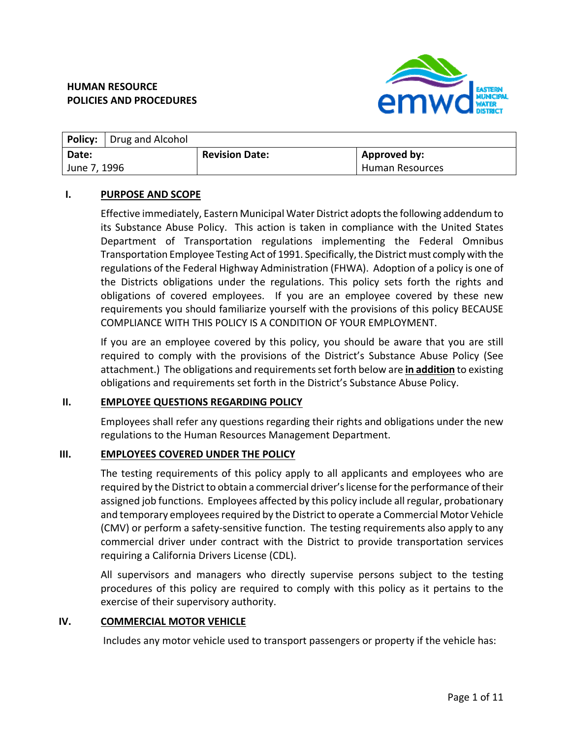

| <b>Policy:</b> Drug and Alcohol |                       |                        |
|---------------------------------|-----------------------|------------------------|
| Date:                           | <b>Revision Date:</b> | Approved by:           |
| l June 7, 1996                  |                       | <b>Human Resources</b> |

#### **I. PURPOSE AND SCOPE**

Effective immediately, Eastern Municipal Water District adoptsthe following addendum to its Substance Abuse Policy. This action is taken in compliance with the United States Department of Transportation regulations implementing the Federal Omnibus Transportation Employee Testing Act of 1991. Specifically, the District must comply with the regulations of the Federal Highway Administration (FHWA). Adoption of a policy is one of the Districts obligations under the regulations. This policy sets forth the rights and obligations of covered employees. If you are an employee covered by these new requirements you should familiarize yourself with the provisions of this policy BECAUSE COMPLIANCE WITH THIS POLICY IS A CONDITION OF YOUR EMPLOYMENT.

If you are an employee covered by this policy, you should be aware that you are still required to comply with the provisions of the District's Substance Abuse Policy (See attachment.) The obligations and requirementsset forth below are **in addition** to existing obligations and requirements set forth in the District's Substance Abuse Policy.

#### **II. EMPLOYEE QUESTIONS REGARDING POLICY**

Employees shall refer any questions regarding their rights and obligations under the new regulations to the Human Resources Management Department.

#### **III. EMPLOYEES COVERED UNDER THE POLICY**

The testing requirements of this policy apply to all applicants and employees who are required by the District to obtain a commercial driver's license for the performance of their assigned job functions. Employees affected by this policy include all regular, probationary and temporary employees required by the District to operate a Commercial Motor Vehicle (CMV) or perform a safety‐sensitive function. The testing requirements also apply to any commercial driver under contract with the District to provide transportation services requiring a California Drivers License (CDL).

All supervisors and managers who directly supervise persons subject to the testing procedures of this policy are required to comply with this policy as it pertains to the exercise of their supervisory authority.

#### **IV. COMMERCIAL MOTOR VEHICLE**

Includes any motor vehicle used to transport passengers or property if the vehicle has: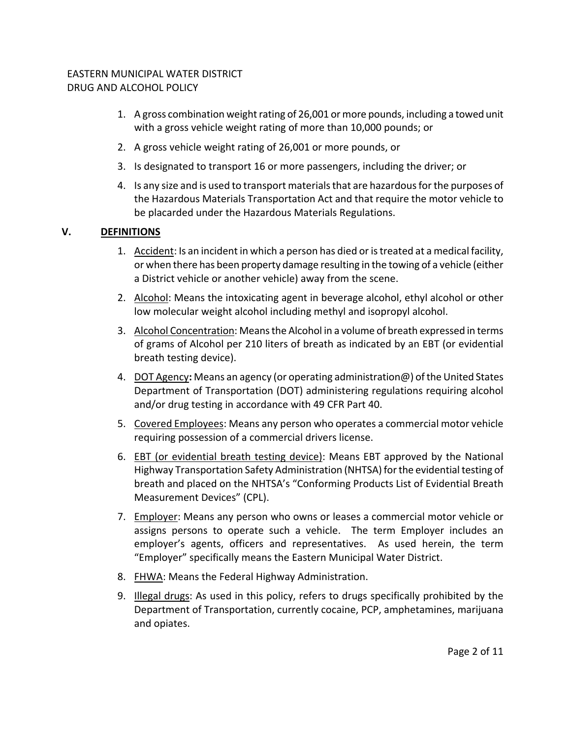- 1. A gross combination weight rating of 26,001 or more pounds, including a towed unit with a gross vehicle weight rating of more than 10,000 pounds; or
- 2. A gross vehicle weight rating of 26,001 or more pounds, or
- 3. Is designated to transport 16 or more passengers, including the driver; or
- 4. Is any size and is used to transport materialsthat are hazardousforthe purposes of the Hazardous Materials Transportation Act and that require the motor vehicle to be placarded under the Hazardous Materials Regulations.

# **V. DEFINITIONS**

- 1. Accident: Is an incident in which a person has died or is treated at a medical facility, or when there has been property damage resulting in the towing of a vehicle (either a District vehicle or another vehicle) away from the scene.
- 2. Alcohol: Means the intoxicating agent in beverage alcohol, ethyl alcohol or other low molecular weight alcohol including methyl and isopropyl alcohol.
- 3. Alcohol Concentration: Meansthe Alcohol in a volume of breath expressed in terms of grams of Alcohol per 210 liters of breath as indicated by an EBT (or evidential breath testing device).
- 4. DOT Agency**:** Means an agency (or operating administration@) ofthe United States Department of Transportation (DOT) administering regulations requiring alcohol and/or drug testing in accordance with 49 CFR Part 40.
- 5. Covered Employees: Means any person who operates a commercial motor vehicle requiring possession of a commercial drivers license.
- 6. EBT (or evidential breath testing device): Means EBT approved by the National Highway Transportation Safety Administration (NHTSA) for the evidential testing of breath and placed on the NHTSA's "Conforming Products List of Evidential Breath Measurement Devices" (CPL).
- 7. Employer: Means any person who owns or leases a commercial motor vehicle or assigns persons to operate such a vehicle. The term Employer includes an employer's agents, officers and representatives. As used herein, the term "Employer" specifically means the Eastern Municipal Water District.
- 8. FHWA: Means the Federal Highway Administration.
- 9. Illegal drugs: As used in this policy, refers to drugs specifically prohibited by the Department of Transportation, currently cocaine, PCP, amphetamines, marijuana and opiates.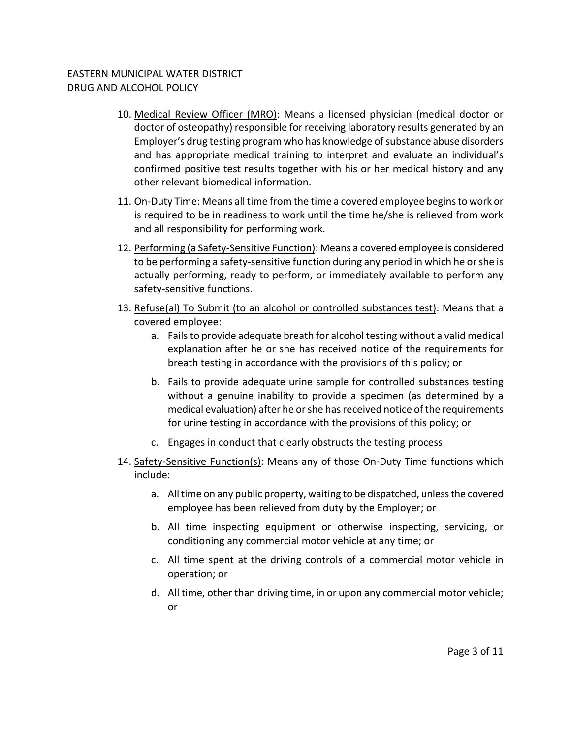- 10. Medical Review Officer (MRO): Means a licensed physician (medical doctor or doctor of osteopathy) responsible for receiving laboratory results generated by an Employer's drug testing program who has knowledge of substance abuse disorders and has appropriate medical training to interpret and evaluate an individual's confirmed positive test results together with his or her medical history and any other relevant biomedical information.
- 11. On‐Duty Time: Means all time from the time a covered employee beginsto work or is required to be in readiness to work until the time he/she is relieved from work and all responsibility for performing work.
- 12. Performing (a Safety-Sensitive Function): Means a covered employee is considered to be performing a safety-sensitive function during any period in which he or she is actually performing, ready to perform, or immediately available to perform any safety‐sensitive functions.
- 13. Refuse(al) To Submit (to an alcohol or controlled substances test): Means that a covered employee:
	- a. Failsto provide adequate breath for alcohol testing without a valid medical explanation after he or she has received notice of the requirements for breath testing in accordance with the provisions of this policy; or
	- b. Fails to provide adequate urine sample for controlled substances testing without a genuine inability to provide a specimen (as determined by a medical evaluation) after he orshe hasreceived notice of the requirements for urine testing in accordance with the provisions of this policy; or
	- c. Engages in conduct that clearly obstructs the testing process.
- 14. Safety‐Sensitive Function(s): Means any of those On‐Duty Time functions which include:
	- a. Alltime on any public property, waiting to be dispatched, unlessthe covered employee has been relieved from duty by the Employer; or
	- b. All time inspecting equipment or otherwise inspecting, servicing, or conditioning any commercial motor vehicle at any time; or
	- c. All time spent at the driving controls of a commercial motor vehicle in operation; or
	- d. All time, other than driving time, in or upon any commercial motor vehicle; or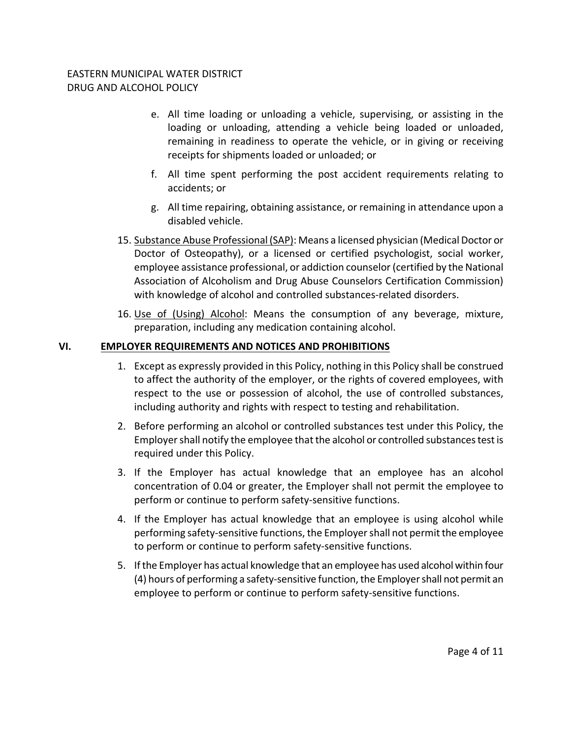- e. All time loading or unloading a vehicle, supervising, or assisting in the loading or unloading, attending a vehicle being loaded or unloaded, remaining in readiness to operate the vehicle, or in giving or receiving receipts for shipments loaded or unloaded; or
- f. All time spent performing the post accident requirements relating to accidents; or
- g. All time repairing, obtaining assistance, or remaining in attendance upon a disabled vehicle.
- 15. Substance Abuse Professional (SAP): Means a licensed physician (Medical Doctor or Doctor of Osteopathy), or a licensed or certified psychologist, social worker, employee assistance professional, or addiction counselor(certified by the National Association of Alcoholism and Drug Abuse Counselors Certification Commission) with knowledge of alcohol and controlled substances-related disorders.
- 16. Use of (Using) Alcohol: Means the consumption of any beverage, mixture, preparation, including any medication containing alcohol.

## **VI. EMPLOYER REQUIREMENTS AND NOTICES AND PROHIBITIONS**

- 1. Except as expressly provided in this Policy, nothing in this Policy shall be construed to affect the authority of the employer, or the rights of covered employees, with respect to the use or possession of alcohol, the use of controlled substances, including authority and rights with respect to testing and rehabilitation.
- 2. Before performing an alcohol or controlled substances test under this Policy, the Employer shall notify the employee that the alcohol or controlled substances test is required under this Policy.
- 3. If the Employer has actual knowledge that an employee has an alcohol concentration of 0.04 or greater, the Employer shall not permit the employee to perform or continue to perform safety‐sensitive functions.
- 4. If the Employer has actual knowledge that an employee is using alcohol while performing safety-sensitive functions, the Employer shall not permit the employee to perform or continue to perform safety‐sensitive functions.
- 5. Ifthe Employer has actual knowledge that an employee has used alcohol within four (4) hours of performing a safety‐sensitive function,the Employershall not permit an employee to perform or continue to perform safety‐sensitive functions.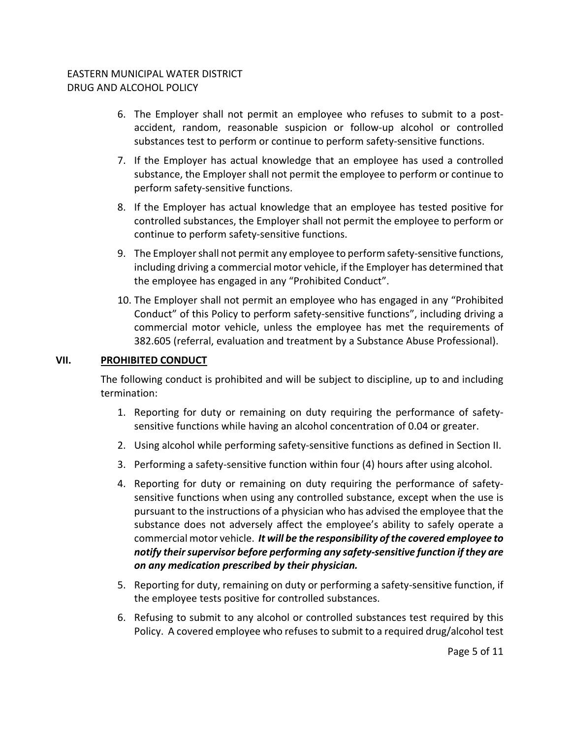- 6. The Employer shall not permit an employee who refuses to submit to a post‐ accident, random, reasonable suspicion or follow‐up alcohol or controlled substances test to perform or continue to perform safety-sensitive functions.
- 7. If the Employer has actual knowledge that an employee has used a controlled substance, the Employer shall not permit the employee to perform or continue to perform safety‐sensitive functions.
- 8. If the Employer has actual knowledge that an employee has tested positive for controlled substances, the Employer shall not permit the employee to perform or continue to perform safety‐sensitive functions.
- 9. The Employer shall not permit any employee to perform safety-sensitive functions, including driving a commercial motor vehicle, if the Employer has determined that the employee has engaged in any "Prohibited Conduct".
- 10. The Employer shall not permit an employee who has engaged in any "Prohibited Conduct" of this Policy to perform safety‐sensitive functions", including driving a commercial motor vehicle, unless the employee has met the requirements of 382.605 (referral, evaluation and treatment by a Substance Abuse Professional).

## **VII. PROHIBITED CONDUCT**

The following conduct is prohibited and will be subject to discipline, up to and including termination:

- 1. Reporting for duty or remaining on duty requiring the performance of safety‐ sensitive functions while having an alcohol concentration of 0.04 or greater.
- 2. Using alcohol while performing safety-sensitive functions as defined in Section II.
- 3. Performing a safety-sensitive function within four (4) hours after using alcohol.
- 4. Reporting for duty or remaining on duty requiring the performance of safety‐ sensitive functions when using any controlled substance, except when the use is pursuant to the instructions of a physician who has advised the employee that the substance does not adversely affect the employee's ability to safely operate a commercial motor vehicle. *It will be the responsibility ofthe covered employee to notify theirsupervisor before performing any safety‐sensitive function if they are on any medication prescribed by their physician.*
- 5. Reporting for duty, remaining on duty or performing a safety-sensitive function, if the employee tests positive for controlled substances.
- 6. Refusing to submit to any alcohol or controlled substances test required by this Policy. A covered employee who refusesto submit to a required drug/alcohol test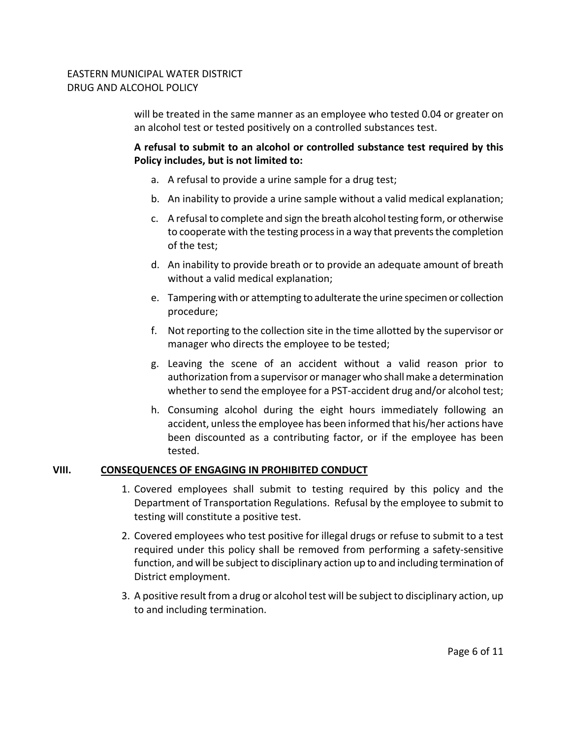will be treated in the same manner as an employee who tested 0.04 or greater on an alcohol test or tested positively on a controlled substances test.

**A refusal to submit to an alcohol or controlled substance test required by this Policy includes, but is not limited to:**

- a. A refusal to provide a urine sample for a drug test;
- b. An inability to provide a urine sample without a valid medical explanation;
- c. A refusal to complete and sign the breath alcoholtesting form, or otherwise to cooperate with the testing process in a way that prevents the completion of the test;
- d. An inability to provide breath or to provide an adequate amount of breath without a valid medical explanation;
- e. Tampering with or attempting to adulterate the urine specimen or collection procedure;
- f. Not reporting to the collection site in the time allotted by the supervisor or manager who directs the employee to be tested;
- g. Leaving the scene of an accident without a valid reason prior to authorization from a supervisor or manager who shallmake a determination whether to send the employee for a PST-accident drug and/or alcohol test;
- h. Consuming alcohol during the eight hours immediately following an accident, unless the employee has been informed that his/her actions have been discounted as a contributing factor, or if the employee has been tested.

#### **VIII. CONSEQUENCES OF ENGAGING IN PROHIBITED CONDUCT**

- 1. Covered employees shall submit to testing required by this policy and the Department of Transportation Regulations. Refusal by the employee to submit to testing will constitute a positive test.
- 2. Covered employees who test positive for illegal drugs or refuse to submit to a test required under this policy shall be removed from performing a safety‐sensitive function, and will be subject to disciplinary action up to and including termination of District employment.
- 3. A positive result from a drug or alcohol test will be subject to disciplinary action, up to and including termination.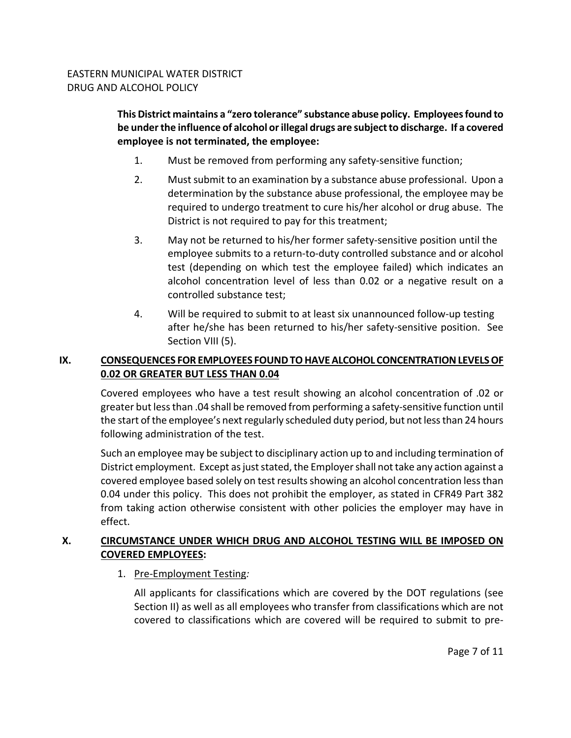**This District maintains a "zero tolerance" substance abuse policy. Employeesfound to be underthe influence of alcohol orillegal drugs are subjectto discharge. If a covered employee is not terminated, the employee:**

- 1. Must be removed from performing any safety‐sensitive function;
- 2. Must submit to an examination by a substance abuse professional. Upon a determination by the substance abuse professional, the employee may be required to undergo treatment to cure his/her alcohol or drug abuse. The District is not required to pay for this treatment;
- 3. May not be returned to his/her former safety‐sensitive position until the employee submits to a return‐to‐duty controlled substance and or alcohol test (depending on which test the employee failed) which indicates an alcohol concentration level of less than 0.02 or a negative result on a controlled substance test;
- 4. Will be required to submit to at least six unannounced follow‐up testing after he/she has been returned to his/her safety‐sensitive position. See Section VIII (5).

# **IX. CONSEQUENCES FOR EMPLOYEES FOUNDTOHAVEALCOHOL CONCENTRATIONLEVELSOF 0.02 OR GREATER BUT LESS THAN 0.04**

Covered employees who have a test result showing an alcohol concentration of .02 or greater but less than .04 shall be removed from performing a safety-sensitive function until the start of the employee's next regularly scheduled duty period, but not less than 24 hours following administration of the test.

Such an employee may be subject to disciplinary action up to and including termination of District employment. Except as just stated, the Employer shall not take any action against a covered employee based solely on test results showing an alcohol concentration less than 0.04 under this policy. This does not prohibit the employer, as stated in CFR49 Part 382 from taking action otherwise consistent with other policies the employer may have in effect.

# **X. CIRCUMSTANCE UNDER WHICH DRUG AND ALCOHOL TESTING WILL BE IMPOSED ON COVERED EMPLOYEES:**

1. Pre‐Employment Testing*:*

All applicants for classifications which are covered by the DOT regulations (see Section II) as well as all employees who transfer from classifications which are not covered to classifications which are covered will be required to submit to pre‐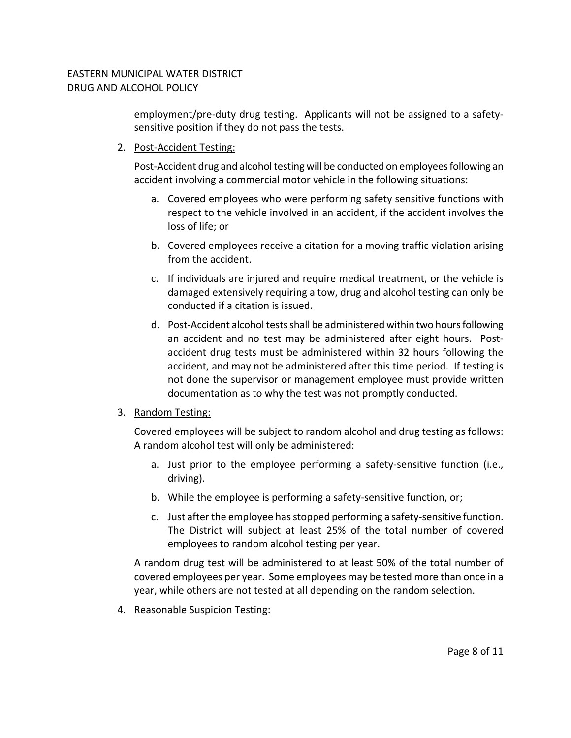employment/pre-duty drug testing. Applicants will not be assigned to a safetysensitive position if they do not pass the tests.

2. Post‐Accident Testing:

Post-Accident drug and alcohol testing will be conducted on employees following an accident involving a commercial motor vehicle in the following situations:

- a. Covered employees who were performing safety sensitive functions with respect to the vehicle involved in an accident, if the accident involves the loss of life; or
- b. Covered employees receive a citation for a moving traffic violation arising from the accident.
- c. If individuals are injured and require medical treatment, or the vehicle is damaged extensively requiring a tow, drug and alcohol testing can only be conducted if a citation is issued.
- d. Post-Accident alcohol tests shall be administered within two hours following an accident and no test may be administered after eight hours. Postaccident drug tests must be administered within 32 hours following the accident, and may not be administered after this time period. If testing is not done the supervisor or management employee must provide written documentation as to why the test was not promptly conducted.

## 3. Random Testing:

Covered employees will be subject to random alcohol and drug testing as follows: A random alcohol test will only be administered:

- a. Just prior to the employee performing a safety‐sensitive function (i.e., driving).
- b. While the employee is performing a safety-sensitive function, or;
- c. Just after the employee has stopped performing a safety-sensitive function. The District will subject at least 25% of the total number of covered employees to random alcohol testing per year.

A random drug test will be administered to at least 50% of the total number of covered employees per year. Some employees may be tested more than once in a year, while others are not tested at all depending on the random selection.

4. Reasonable Suspicion Testing: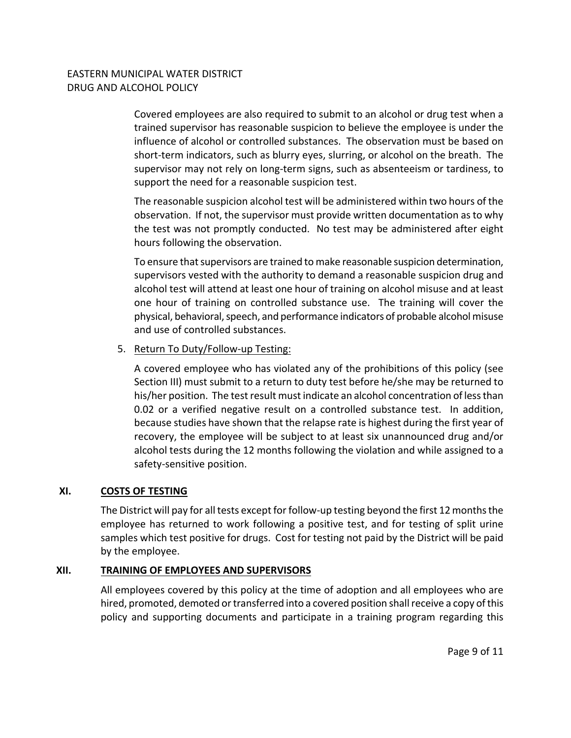Covered employees are also required to submit to an alcohol or drug test when a trained supervisor has reasonable suspicion to believe the employee is under the influence of alcohol or controlled substances. The observation must be based on short‐term indicators, such as blurry eyes, slurring, or alcohol on the breath. The supervisor may not rely on long-term signs, such as absenteeism or tardiness, to support the need for a reasonable suspicion test.

The reasonable suspicion alcohol test will be administered within two hours of the observation. If not, the supervisor must provide written documentation asto why the test was not promptly conducted. No test may be administered after eight hours following the observation.

To ensure that supervisors are trained to make reasonable suspicion determination, supervisors vested with the authority to demand a reasonable suspicion drug and alcohol test will attend at least one hour of training on alcohol misuse and at least one hour of training on controlled substance use. The training will cover the physical, behavioral,speech, and performance indicators of probable alcoholmisuse and use of controlled substances.

5. Return To Duty/Follow‐up Testing:

A covered employee who has violated any of the prohibitions of this policy (see Section III) must submit to a return to duty test before he/she may be returned to his/her position. The testresult must indicate an alcohol concentration of lessthan 0.02 or a verified negative result on a controlled substance test. In addition, because studies have shown that the relapse rate is highest during the first year of recovery, the employee will be subject to at least six unannounced drug and/or alcohol tests during the 12 months following the violation and while assigned to a safety‐sensitive position.

#### **XI. COSTS OF TESTING**

The District will pay for all tests except for follow-up testing beyond the first 12 months the employee has returned to work following a positive test, and for testing of split urine samples which test positive for drugs. Cost for testing not paid by the District will be paid by the employee.

## **XII. TRAINING OF EMPLOYEES AND SUPERVISORS**

All employees covered by this policy at the time of adoption and all employees who are hired, promoted, demoted or transferred into a covered position shall receive a copy of this policy and supporting documents and participate in a training program regarding this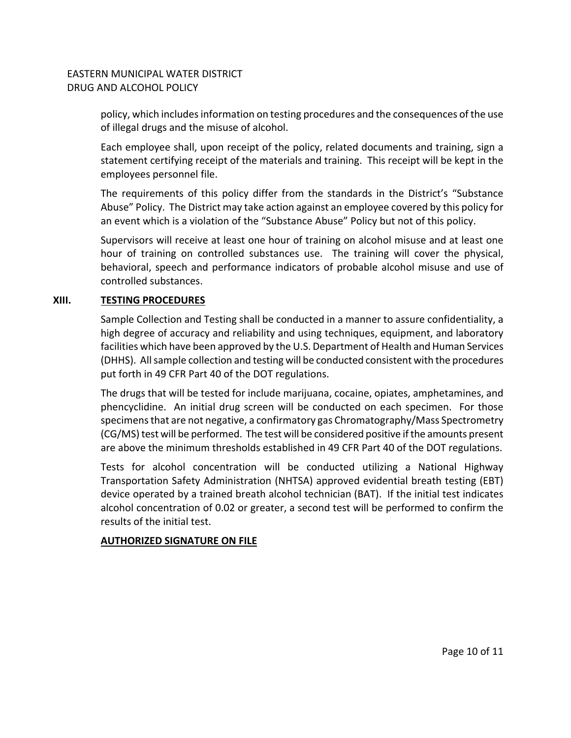policy, which includes information on testing procedures and the consequences of the use of illegal drugs and the misuse of alcohol.

Each employee shall, upon receipt of the policy, related documents and training, sign a statement certifying receipt of the materials and training. This receipt will be kept in the employees personnel file.

The requirements of this policy differ from the standards in the District's "Substance Abuse" Policy. The District may take action against an employee covered by this policy for an event which is a violation of the "Substance Abuse" Policy but not of this policy.

Supervisors will receive at least one hour of training on alcohol misuse and at least one hour of training on controlled substances use. The training will cover the physical, behavioral, speech and performance indicators of probable alcohol misuse and use of controlled substances.

# **XIII. TESTING PROCEDURES**

Sample Collection and Testing shall be conducted in a manner to assure confidentiality, a high degree of accuracy and reliability and using techniques, equipment, and laboratory facilities which have been approved by the U.S. Department of Health and Human Services (DHHS). Allsample collection and testing will be conducted consistent with the procedures put forth in 49 CFR Part 40 of the DOT regulations.

The drugs that will be tested for include marijuana, cocaine, opiates, amphetamines, and phencyclidine. An initial drug screen will be conducted on each specimen. For those specimensthat are not negative, a confirmatory gas Chromatography/Mass Spectrometry (CG/MS) test will be performed. The test will be considered positive ifthe amounts present are above the minimum thresholds established in 49 CFR Part 40 of the DOT regulations.

Tests for alcohol concentration will be conducted utilizing a National Highway Transportation Safety Administration (NHTSA) approved evidential breath testing (EBT) device operated by a trained breath alcohol technician (BAT). If the initial test indicates alcohol concentration of 0.02 or greater, a second test will be performed to confirm the results of the initial test.

## **AUTHORIZED SIGNATURE ON FILE**